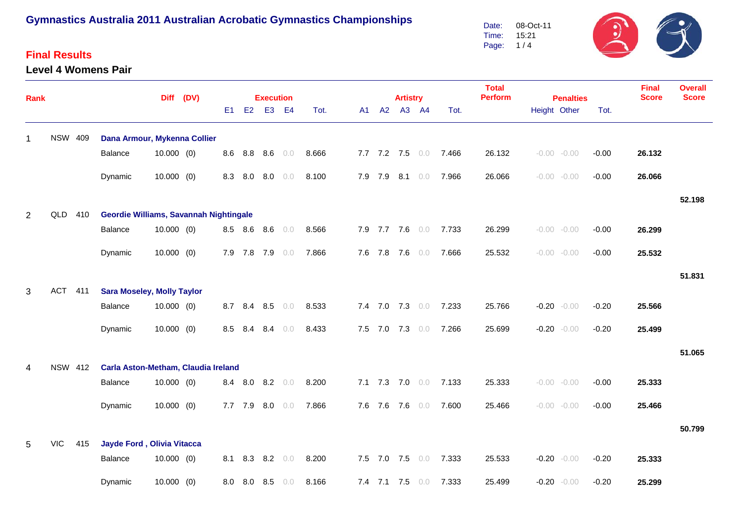### **Final Results**

#### **Level 4 Womens Pair**

 $\mathcal{F}$  $\ddot{\bm{v}}$ 08-Oct-11 Date: Time: 15:21 Page: 1 / 4

| <b>Rank</b> |                |                |                                        |              | Diff (DV) |                |             | <b>Execution</b> |     |       |         | <b>Artistry</b> |                 |       | <b>Total</b><br><b>Perform</b> | <b>Penalties</b> | <b>Final</b><br><b>Score</b> | <b>Overall</b><br><b>Score</b> |        |
|-------------|----------------|----------------|----------------------------------------|--------------|-----------|----------------|-------------|------------------|-----|-------|---------|-----------------|-----------------|-------|--------------------------------|------------------|------------------------------|--------------------------------|--------|
|             |                |                |                                        |              |           | E <sub>1</sub> | E2          | E <sub>3</sub>   | E4  | Tot.  | A1 A2   |                 | A3 A4           | Tot.  |                                | Height Other     | Tot.                         |                                |        |
| 1           | <b>NSW 409</b> |                | Dana Armour, Mykenna Collier           |              |           |                |             |                  |     |       |         |                 |                 |       |                                |                  |                              |                                |        |
|             |                |                | Balance                                | $10.000$ (0) |           | 8.6            |             | 8.8 8.6          | 0.0 | 8.666 |         |                 | 7.7 7.2 7.5 0.0 | 7.466 | 26.132                         | $-0.00 - 0.00$   | $-0.00$                      | 26.132                         |        |
|             |                |                | Dynamic                                | $10.000$ (0) |           | 8.3            |             | 8.0 8.0          | 0.0 | 8.100 |         | 7.9 7.9 8.1 0.0 |                 | 7.966 | 26.066                         | $-0.00 - 0.00$   | $-0.00$                      | 26.066                         |        |
|             |                |                |                                        |              |           |                |             |                  |     |       |         |                 |                 |       |                                |                  |                              |                                | 52.198 |
| 2           | QLD 410        |                | Geordie Williams, Savannah Nightingale |              |           |                |             |                  |     |       |         |                 |                 |       |                                |                  |                              |                                |        |
|             |                |                | Balance                                | $10.000$ (0) |           |                | 8.5 8.6 8.6 |                  | 0.0 | 8.566 |         | 7.9 7.7 7.6 0.0 |                 | 7.733 | 26.299                         | $-0.00 - 0.00$   | $-0.00$                      | 26.299                         |        |
|             |                |                | Dynamic                                | $10.000$ (0) |           |                | 7.9 7.8 7.9 |                  | 0.0 | 7.866 |         | 7.6 7.8 7.6 0.0 |                 | 7.666 | 25.532                         | $-0.00 - 0.00$   | $-0.00$                      | 25.532                         |        |
|             |                |                |                                        |              |           |                |             |                  |     |       |         |                 |                 |       |                                |                  |                              |                                | 51.831 |
| 3           | ACT 411        |                | <b>Sara Moseley, Molly Taylor</b>      |              |           |                |             |                  |     |       |         |                 |                 |       |                                |                  |                              |                                |        |
|             |                |                | Balance                                | $10.000$ (0) |           | 8.7            |             | 8.4 8.5          | 0.0 | 8.533 |         | 7.4 7.0 7.3 0.0 |                 | 7.233 | 25.766                         | $-0.20 - 0.00$   | $-0.20$                      | 25.566                         |        |
|             |                |                | Dynamic                                | $10.000$ (0) |           | 8.5            | 8.4         | 8.4              | 0.0 | 8.433 | 7.5 7.0 | $7.3 \t0.0$     |                 | 7.266 | 25.699                         | $-0.20 - 0.00$   | $-0.20$                      | 25.499                         |        |
|             |                |                |                                        |              |           |                |             |                  |     |       |         |                 |                 |       |                                |                  |                              |                                | 51.065 |
| 4           |                | <b>NSW 412</b> | Carla Aston-Metham, Claudia Ireland    |              |           |                |             |                  |     |       |         |                 |                 |       |                                |                  |                              |                                |        |
|             |                |                | Balance                                | $10.000$ (0) |           | 8.4            |             | 8.0 8.2 0.0      |     | 8.200 |         | 7.1 7.3 7.0 0.0 |                 | 7.133 | 25.333                         | $-0.00 - 0.00$   | $-0.00$                      | 25.333                         |        |
|             |                |                | Dynamic                                | $10.000$ (0) |           | 7.7            | 7.9         | 8.0              | 0.0 | 7.866 | 7.6 7.6 | $7.6\quad 0.0$  |                 | 7.600 | 25.466                         | $-0.00 - 0.00$   | $-0.00$                      | 25.466                         |        |
|             |                |                |                                        |              |           |                |             |                  |     |       |         |                 |                 |       |                                |                  |                              |                                | 50.799 |
| 5           | <b>VIC</b>     | 415            | Jayde Ford, Olivia Vitacca             |              |           |                |             |                  |     |       |         |                 |                 |       |                                |                  |                              |                                |        |
|             |                |                | Balance                                | $10.000$ (0) |           | 8.1            | 8.3         | 8.2              | 0.0 | 8.200 |         | 7.5 7.0 7.5 0.0 |                 | 7.333 | 25.533                         | $-0.20 - 0.00$   | $-0.20$                      | 25.333                         |        |
|             |                |                | Dynamic                                | $10.000$ (0) |           | 8.0            | 8.0         | 8.5              | 0.0 | 8.166 |         | 7.4 7.1 7.5     | 0.0             | 7.333 | 25.499                         | $-0.20 - 0.00$   | $-0.20$                      | 25.299                         |        |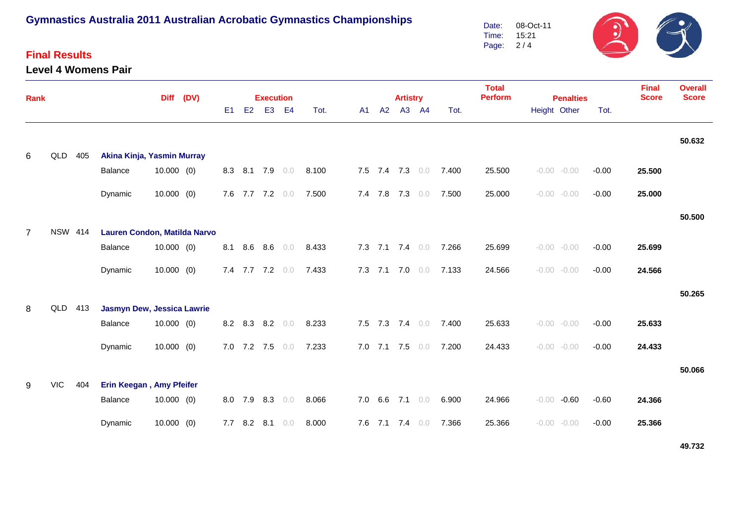### **Final Results**

**Level 4 Womens Pair**



| Rank           |                |     |                              | <b>Diff</b>  | (DV) | <b>Execution</b> |             |                 |     |       |    |                   | <b>Artistry</b> |       |       | <b>Total</b><br><b>Perform</b><br><b>Penalties</b> |              |                |         | <b>Final</b><br><b>Score</b> | <b>Overall</b><br><b>Score</b> |
|----------------|----------------|-----|------------------------------|--------------|------|------------------|-------------|-----------------|-----|-------|----|-------------------|-----------------|-------|-------|----------------------------------------------------|--------------|----------------|---------|------------------------------|--------------------------------|
|                |                |     |                              |              |      | E <sub>1</sub>   | E2          | E <sub>3</sub>  | E4  | Tot.  | A1 | A2                |                 | A3 A4 | Tot.  |                                                    | Height Other |                | Tot.    |                              |                                |
|                | QLD 405        |     | Akina Kinja, Yasmin Murray   |              |      |                  |             |                 |     |       |    |                   |                 |       |       |                                                    |              |                |         |                              | 50.632                         |
| 6              |                |     | Balance                      | $10.000$ (0) |      |                  |             | 8.3 8.1 7.9 0.0 |     | 8.100 |    | 7.5 7.4 7.3 0.0   |                 |       | 7.400 | 25.500                                             |              | $-0.00 - 0.00$ | $-0.00$ | 25.500                       |                                |
|                |                |     | Dynamic                      | $10.000$ (0) |      |                  |             | 7.6 7.7 7.2 0.0 |     | 7.500 |    | 7.4 7.8 7.3 0.0   |                 |       | 7.500 | 25.000                                             |              | $-0.00 - 0.00$ | $-0.00$ | 25.000                       |                                |
|                |                |     |                              |              |      |                  |             |                 |     |       |    |                   |                 |       |       |                                                    |              |                |         |                              | 50.500                         |
| $\overline{7}$ | <b>NSW 414</b> |     | Lauren Condon, Matilda Narvo |              |      |                  |             |                 |     |       |    |                   |                 |       |       |                                                    |              |                |         |                              |                                |
|                |                |     | Balance                      | 10.000(0)    |      |                  |             | 8.1 8.6 8.6     | 0.0 | 8.433 |    | 7.3 7.1 7.4 0.0   |                 |       | 7.266 | 25.699                                             |              | $-0.00 - 0.00$ | $-0.00$ | 25.699                       |                                |
|                |                |     | Dynamic                      | $10.000$ (0) |      |                  |             | 7.4 7.7 7.2 0.0 |     | 7.433 |    | 7.3 7.1 7.0 0.0   |                 |       | 7.133 | 24.566                                             |              | $-0.00 - 0.00$ | $-0.00$ | 24.566                       |                                |
|                |                |     |                              |              |      |                  |             |                 |     |       |    |                   |                 |       |       |                                                    |              |                |         |                              | 50.265                         |
| 8              | QLD 413        |     | Jasmyn Dew, Jessica Lawrie   |              |      |                  |             |                 |     |       |    |                   |                 |       |       |                                                    |              |                |         |                              |                                |
|                |                |     | Balance                      | $10.000$ (0) |      |                  |             | 8.2 8.3 8.2 0.0 |     | 8.233 |    | 7.5 7.3 7.4 0.0   |                 |       | 7.400 | 25.633                                             |              | $-0.00 - 0.00$ | $-0.00$ | 25.633                       |                                |
|                |                |     | Dynamic                      | $10.000$ (0) |      |                  |             | 7.0 7.2 7.5 0.0 |     | 7.233 |    | 7.0 7.1 7.5 $0.0$ |                 |       | 7.200 | 24.433                                             |              | $-0.00 - 0.00$ | $-0.00$ | 24.433                       |                                |
|                |                |     |                              |              |      |                  |             |                 |     |       |    |                   |                 |       |       |                                                    |              |                |         |                              | 50.066                         |
| 9              | <b>VIC</b>     | 404 | Erin Keegan, Amy Pfeifer     |              |      |                  |             |                 |     |       |    |                   |                 |       |       |                                                    |              |                |         |                              |                                |
|                |                |     | Balance                      | $10.000$ (0) |      |                  |             | 8.0 7.9 8.3 0.0 |     | 8.066 |    | 7.0 6.6 7.1 0.0   |                 |       | 6.900 | 24.966                                             |              | $-0.00 - 0.60$ | $-0.60$ | 24.366                       |                                |
|                |                |     | Dynamic                      | $10.000$ (0) |      |                  | 7.7 8.2 8.1 |                 | 0.0 | 8.000 |    | 7.6 7.1 7.4 0.0   |                 |       | 7.366 | 25.366                                             |              | $-0.00 - 0.00$ | $-0.00$ | 25.366                       |                                |

**49.732**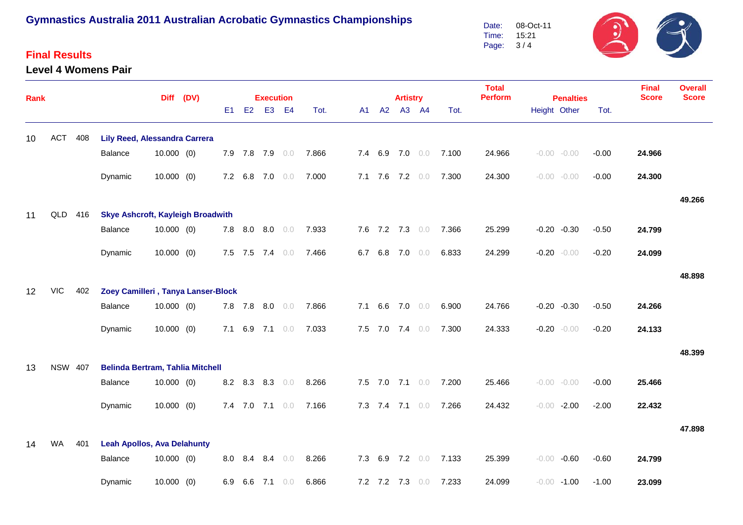### **Final Results**

**Rank**

#### **Level 4 Womens Pair**

**Contract Contract Contract Contract Contract Contract Contract Contract Contract Contract Contract Contract Contract Contract Contract Contract Contract Contract Contract Contract Contract Contract Contract Contract Contr** Date:08-Oct-11Time:15:213 / 4Page:

| al Results<br>el 4 Womens Pair |           |     |                |                  |      |       |                 |    |      | Date:<br>Time:<br>Page: 3/4    | <b>U8-OCI-11</b><br>15:21 | . .  | ╱                            | $\blacktriangleright$          |
|--------------------------------|-----------|-----|----------------|------------------|------|-------|-----------------|----|------|--------------------------------|---------------------------|------|------------------------------|--------------------------------|
|                                | Diff (DV) |     |                | <b>Execution</b> |      |       | <b>Artistry</b> |    |      | <b>Total</b><br><b>Perform</b> | <b>Penalties</b>          |      | <b>Final</b><br><b>Score</b> | <b>Overall</b><br><b>Score</b> |
|                                |           | E1. | E <sub>2</sub> | E3 E4            | Tot. | A1 A2 | A3              | A4 | Tot. |                                | Height Other              | Tot. |                              |                                |

| 10 | <b>ACT</b>     | 408 | <b>Lily Reed, Alessandra Carrera</b>     |              |  |     |             |     |     |       |     |             |                |     |       |        |                |         |         |        |        |
|----|----------------|-----|------------------------------------------|--------------|--|-----|-------------|-----|-----|-------|-----|-------------|----------------|-----|-------|--------|----------------|---------|---------|--------|--------|
|    |                |     | <b>Balance</b>                           | $10.000$ (0) |  | 7.9 | 7.8         | 7.9 | 0.0 | 7.866 | 7.4 | 6.9         | 7.0            | 0.0 | 7.100 | 24.966 | $-0.00 - 0.00$ |         | $-0.00$ | 24.966 |        |
|    |                |     |                                          |              |  |     |             |     |     |       |     |             |                |     |       |        |                |         |         |        |        |
|    |                |     | Dynamic                                  | $10.000$ (0) |  | 7.2 | 6.8         | 7.0 | 0.0 | 7.000 |     | $7.1$ $7.6$ | 7.2            | 0.0 | 7.300 | 24.300 | $-0.00 - 0.00$ |         | $-0.00$ | 24.300 |        |
|    |                |     |                                          |              |  |     |             |     |     |       |     |             |                |     |       |        |                |         |         |        | 49.266 |
| 11 | QLD            | 416 | <b>Skye Ashcroft, Kayleigh Broadwith</b> |              |  |     |             |     |     |       |     |             |                |     |       |        |                |         |         |        |        |
|    |                |     | <b>Balance</b>                           | $10.000$ (0) |  | 7.8 | 8.0         | 8.0 | 0.0 | 7.933 | 7.6 | $7.2$ $7.3$ |                | 0.0 | 7.366 | 25.299 | $-0.20 -0.30$  |         | $-0.50$ | 24.799 |        |
|    |                |     | Dynamic                                  | $10.000$ (0) |  |     | $7.5$ $7.5$ | 7.4 | 0.0 | 7.466 | 6.7 | 6.8         | 7.0            | 0.0 | 6.833 | 24.299 | $-0.20 - 0.00$ |         | $-0.20$ | 24.099 |        |
|    |                |     |                                          |              |  |     |             |     |     |       |     |             |                |     |       |        |                |         |         |        |        |
|    |                |     |                                          |              |  |     |             |     |     |       |     |             |                |     |       |        |                |         |         |        | 48.898 |
| 12 | <b>VIC</b>     | 402 | Zoey Camilleri, Tanya Lanser-Block       |              |  |     |             |     |     |       |     |             |                |     |       |        |                |         |         |        |        |
|    |                |     | Balance                                  | $10.000$ (0) |  | 7.8 | 7.8         | 8.0 | 0.0 | 7.866 | 7.1 | 6.6         | $7.0\quad 0.0$ |     | 6.900 | 24.766 | $-0.20 -0.30$  |         | $-0.50$ | 24.266 |        |
|    |                |     | Dynamic                                  | $10.000$ (0) |  | 7.1 | 6.9         | 7.1 | 0.0 | 7.033 | 7.5 | 7.0         | 7.4            | 0.0 | 7.300 | 24.333 | $-0.20 - 0.00$ |         | $-0.20$ | 24.133 |        |
|    |                |     |                                          |              |  |     |             |     |     |       |     |             |                |     |       |        |                |         |         |        |        |
|    |                |     |                                          |              |  |     |             |     |     |       |     |             |                |     |       |        |                |         |         |        | 48.399 |
| 13 | <b>NSW 407</b> |     | <b>Belinda Bertram, Tahlia Mitchell</b>  |              |  |     |             |     |     |       |     |             |                |     |       |        |                |         |         |        |        |
|    |                |     | <b>Balance</b>                           | $10.000$ (0) |  |     | 8.2 8.3     | 8.3 | 0.0 | 8.266 | 7.5 | 7.0         | 7.1            | 0.0 | 7.200 | 25.466 | $-0.00 - 0.00$ |         | $-0.00$ | 25.466 |        |
|    |                |     | Dynamic                                  | $10.000$ (0) |  |     | 7.4 7.0 7.1 |     | 0.0 | 7.166 | 7.3 | 7.4         | $7.1 \t0.0$    |     | 7.266 | 24.432 | $-0.00$        | $-2.00$ | $-2.00$ | 22.432 |        |
|    |                |     |                                          |              |  |     |             |     |     |       |     |             |                |     |       |        |                |         |         |        |        |
|    |                |     |                                          |              |  |     |             |     |     |       |     |             |                |     |       |        |                |         |         |        | 47.898 |
| 14 | <b>WA</b>      | 401 | <b>Leah Apollos, Ava Delahunty</b>       |              |  |     |             |     |     |       |     |             |                |     |       |        |                |         |         |        |        |
|    |                |     | Balance                                  | $10.000$ (0) |  | 8.0 | 8.4         | 8.4 | 0.0 | 8.266 | 7.3 | 6.9         | 7.2            | 0.0 | 7.133 | 25.399 | $-0.00$        | $-0.60$ | $-0.60$ | 24.799 |        |
|    |                |     | Dynamic                                  | $10.000$ (0) |  | 6.9 | 6.6         | 7.1 | 0.0 | 6.866 |     | 7.2 7.2 7.3 |                | 0.0 | 7.233 | 24.099 | $-0.00 - 1.00$ |         | $-1.00$ | 23.099 |        |